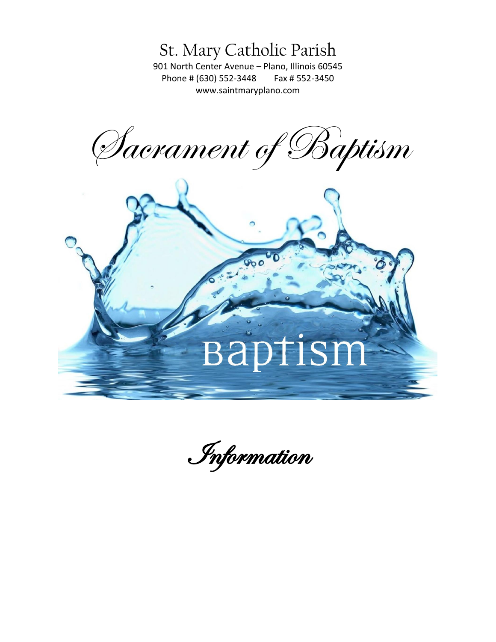St. Mary Catholic Parish

901 North Center Avenue – Plano, Illinois 60545 Phone # (630) 552-3448 Fax # 552-3450 [www.saintmaryplano.com](http://www.saintmaryplano.com/)

Sacrament of Baptism



Information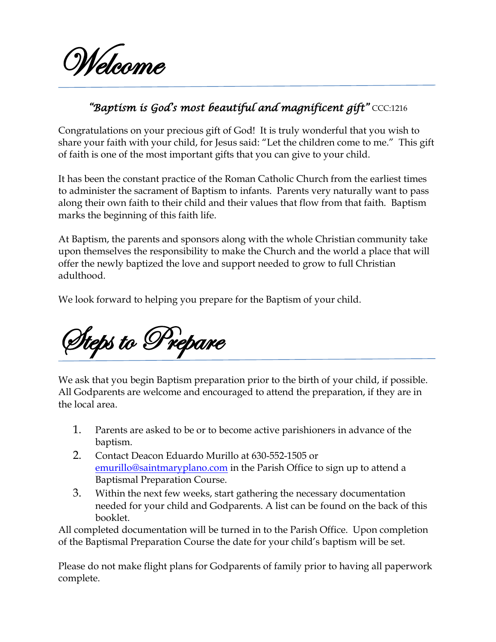

## *"Baptism is God's most beautiful and magnificent gift"* CCC:1216

Congratulations on your precious gift of God! It is truly wonderful that you wish to share your faith with your child, for Jesus said: "Let the children come to me." This gift of faith is one of the most important gifts that you can give to your child.

It has been the constant practice of the Roman Catholic Church from the earliest times to administer the sacrament of Baptism to infants. Parents very naturally want to pass along their own faith to their child and their values that flow from that faith. Baptism marks the beginning of this faith life.

At Baptism, the parents and sponsors along with the whole Christian community take upon themselves the responsibility to make the Church and the world a place that will offer the newly baptized the love and support needed to grow to full Christian adulthood.

We look forward to helping you prepare for the Baptism of your child.

Steps to Prepare

We ask that you begin Baptism preparation prior to the birth of your child, if possible. All Godparents are welcome and encouraged to attend the preparation, if they are in the local area.

- 1. Parents are asked to be or to become active parishioners in advance of the baptism.
- 2. Contact Deacon Eduardo Murillo at 630-552-1505 or [emurillo@saintmaryplano.com](mailto:emurillo@saintmaryplano.com) in the Parish Office to sign up to attend a Baptismal Preparation Course.
- 3. Within the next few weeks, start gathering the necessary documentation needed for your child and Godparents. A list can be found on the back of this booklet.

All completed documentation will be turned in to the Parish Office. Upon completion of the Baptismal Preparation Course the date for your child's baptism will be set.

Please do not make flight plans for Godparents of family prior to having all paperwork complete.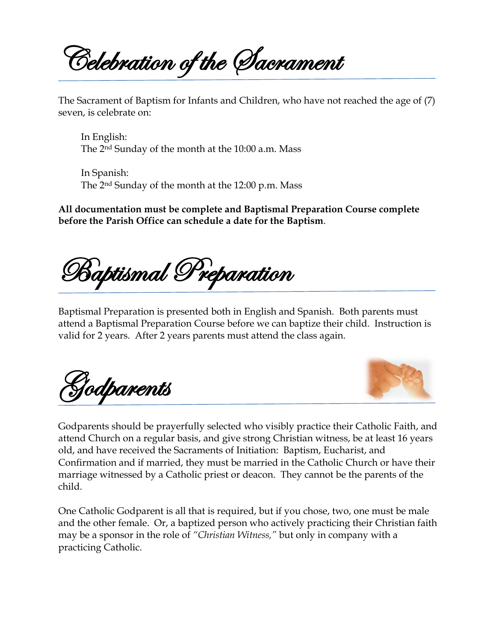Celebration of the Sacrament

The Sacrament of Baptism for Infants and Children, who have not reached the age of (7) seven, is celebrate on:

In English: The 2nd Sunday of the month at the 10:00 a.m. Mass

In Spanish: The 2nd Sunday of the month at the 12:00 p.m. Mass

**All documentation must be complete and Baptismal Preparation Course complete before the Parish Office can schedule a date for the Baptism**.

Baptismal Preparation

Baptismal Preparation is presented both in English and Spanish. Both parents must attend a Baptismal Preparation Course before we can baptize their child. Instruction is valid for 2 years. After 2 years parents must attend the class again.

Godparents



Godparents should be prayerfully selected who visibly practice their Catholic Faith, and attend Church on a regular basis, and give strong Christian witness, be at least 16 years old, and have received the Sacraments of Initiation: Baptism, Eucharist, and Confirmation and if married, they must be married in the Catholic Church or have their marriage witnessed by a Catholic priest or deacon. They cannot be the parents of the child.

One Catholic Godparent is all that is required, but if you chose, two, one must be male and the other female. Or, a baptized person who actively practicing their Christian faith may be a sponsor in the role of *"Christian Witness,"* but only in company with a practicing Catholic.